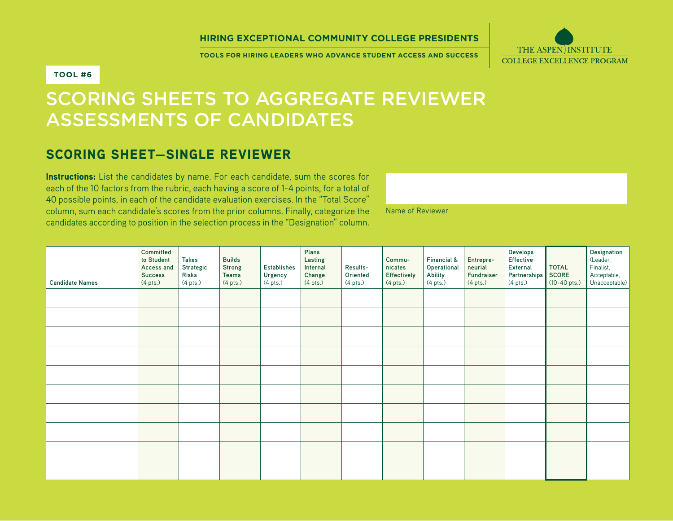#### **Hiring Exceptional Community College Presidents**

**Tools for Hiring Leaders who advance Student Access and Success**

Name of Reviewer



### **Tool #6**

# Scoring Sheets to Aggregate Reviewer Assessments of Candidates

## Scoring Sheet—Single Reviewer

Instructions: List the candidates by name. For each candidate, sum the scores for each of the 10 factors from the rubric, each having a score of 1-4 points, for a total of 40 possible points, in each of the candidate evaluation exercises. In the "Total Score" column, sum each candidate's scores from the prior columns. Finally, categorize the candidates according to position in the selection process in the "Designation" column.

**Candidate Names Committed to Student Access and Success**  (4 pts.) **Takes Strategic Risks**  (4 pts.) **Builds Strong Teams**  (4 pts.) **Establishes Urgency**  (4 pts.) **Plans Lasting Internal Change**  (4 pts.) **Results-Oriented**  (4 pts.) **Communicates Effectively**  (4 pts.) **Financial & Operational Ability**  (4 pts.) **Entrepreneurial Fundraiser**  (4 pts.) **Develops Effective External Partnerships** (4 pts.) **TOTAL SCORE**  (10-40 pts.) **Designation**  (Leader, **Finalist** Acceptable, Unacceptable)